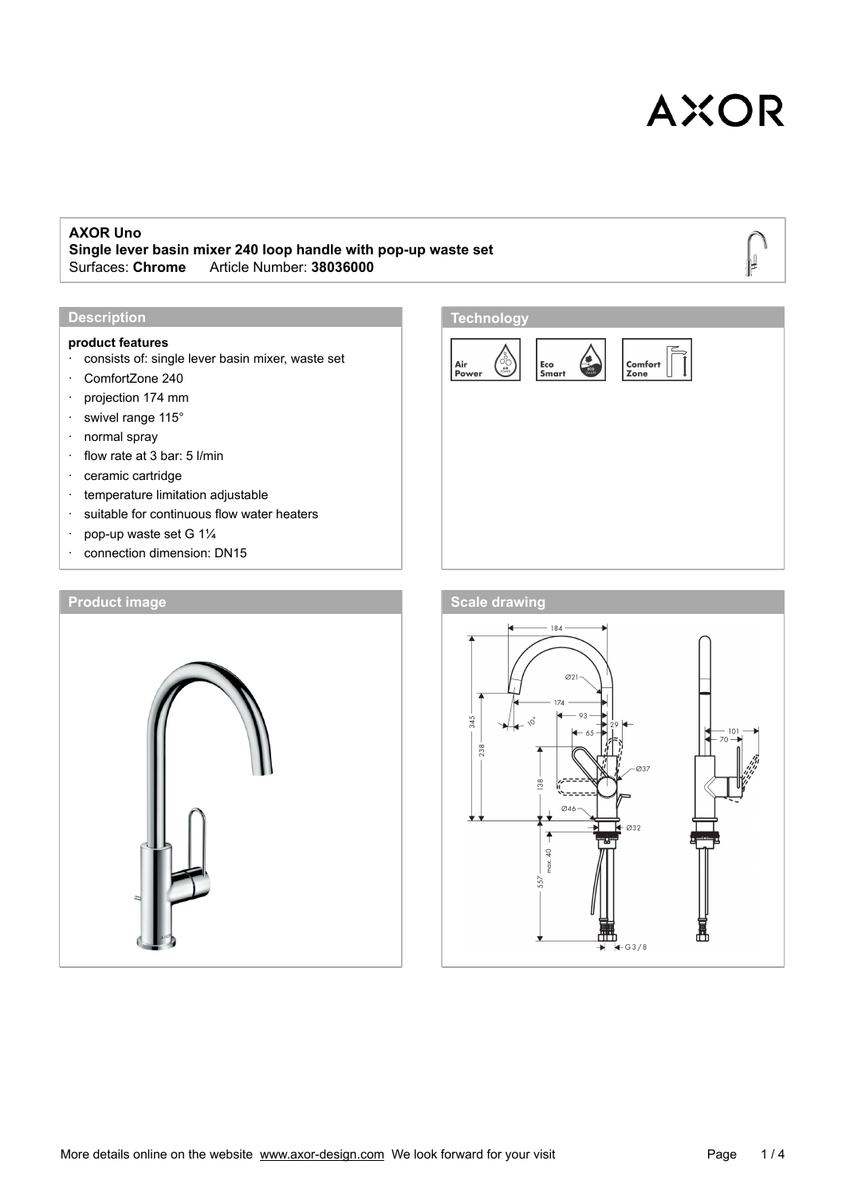#### **AXOR Uno**

**Single lever basin mixer 240 loop handle with pop-up waste set** Surfaces: **Chrome**\_\_\_Article Number: **38036000**

#### **Description**

### **product features**

- · consists of: single lever basin mixer, waste set
- · ComfortZone 240
- · projection 174 mm
- · swivel range 115°
- · normal spray
- · flow rate at 3 bar: 5 l/min
- · ceramic cartridge
- · temperature limitation adjustable
- · suitable for continuous flow water heaters
- · pop-up waste set G 1¼
- · connection dimension: DN15





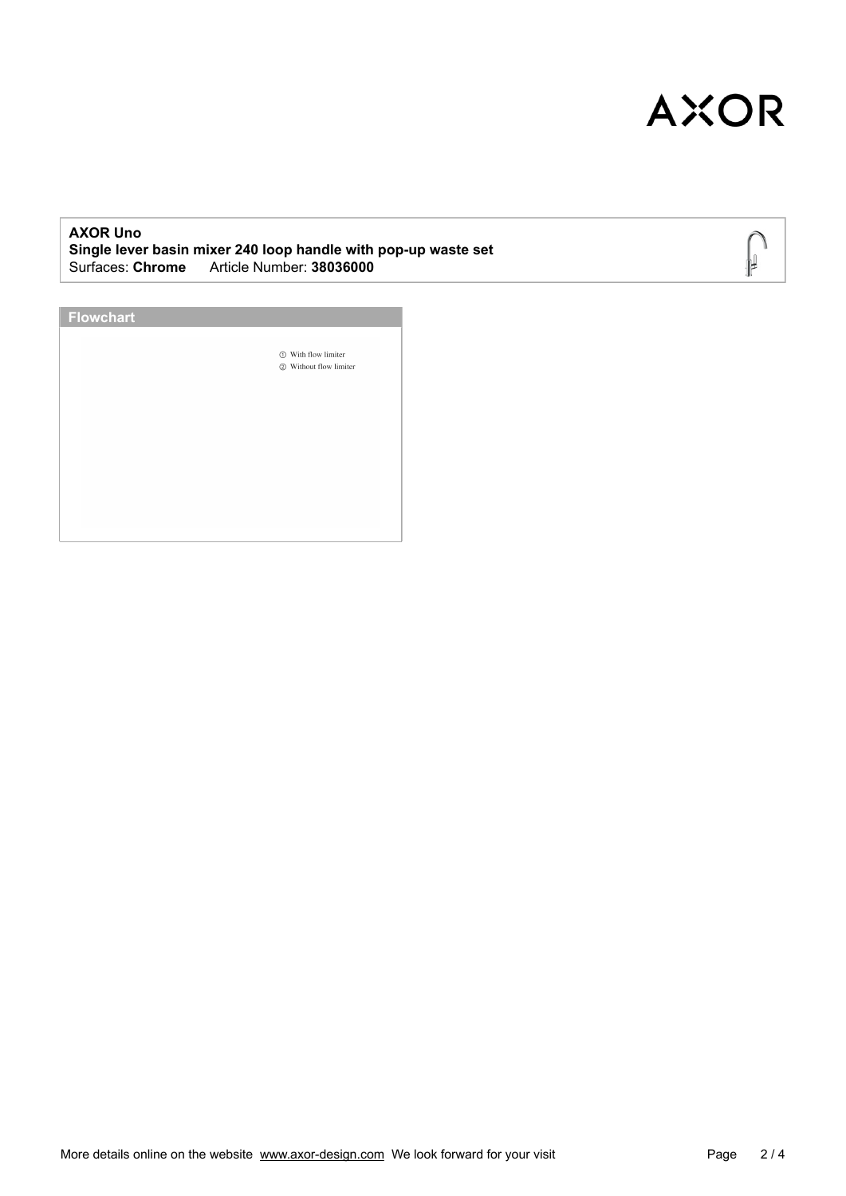∥ ₽

#### **AXOR Uno Single lever basin mixer 240 loop handle with pop-up waste set** Surfaces: **Chrome**\_\_\_Article Number: **38036000**

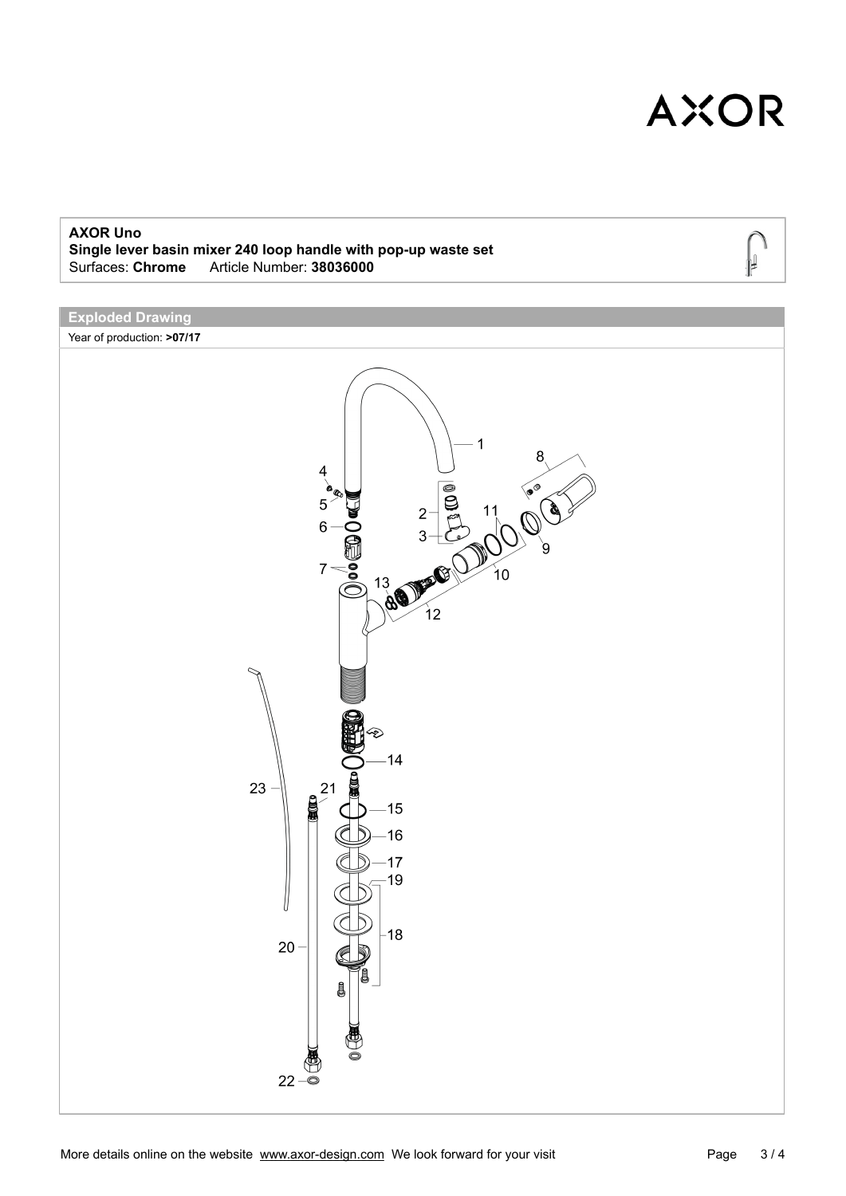#### **AXOR Uno**

**Single lever basin mixer 240 loop handle with pop-up waste set** Surfaces: **Chrome**\_\_\_Article Number: **38036000**

### **Exploded Drawing**